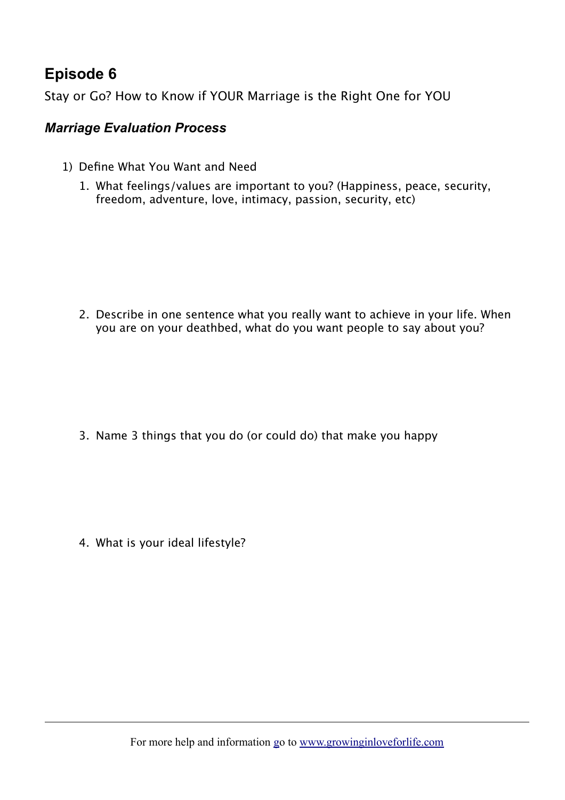## **Episode 6**

Stay or Go? How to Know if YOUR Marriage is the Right One for YOU

## *Marriage Evaluation Process*

- 1) Define What You Want and Need
	- 1. What feelings/values are important to you? (Happiness, peace, security, freedom, adventure, love, intimacy, passion, security, etc)

2. Describe in one sentence what you really want to achieve in your life. When you are on your deathbed, what do you want people to say about you?

3. Name 3 things that you do (or could do) that make you happy

4. What is your ideal lifestyle?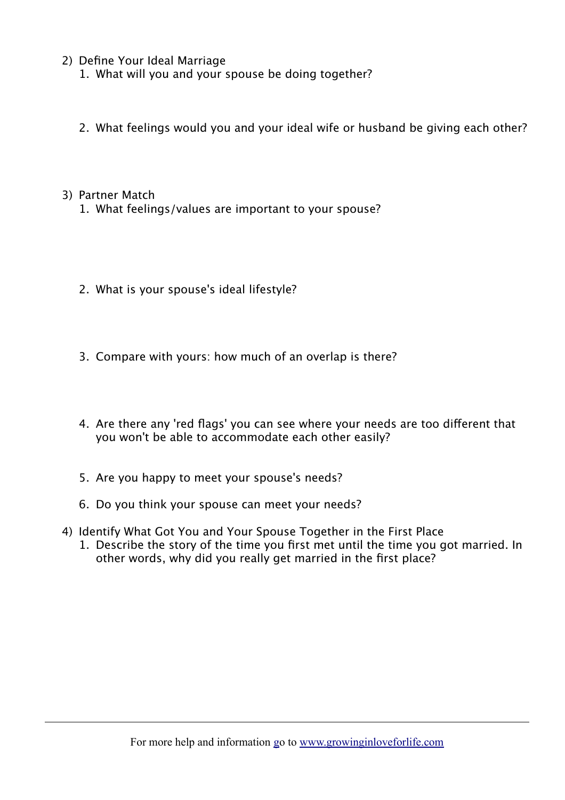- 2) Define Your Ideal Marriage
	- 1. What will you and your spouse be doing together?
	- 2. What feelings would you and your ideal wife or husband be giving each other?

## 3) Partner Match

- 1. What feelings/values are important to your spouse?
- 2. What is your spouse's ideal lifestyle?
- 3. Compare with yours: how much of an overlap is there?
- 4. Are there any 'red flags' you can see where your needs are too different that you won't be able to accommodate each other easily?
- 5. Are you happy to meet your spouse's needs?
- 6. Do you think your spouse can meet your needs?
- 4) Identify What Got You and Your Spouse Together in the First Place 1. Describe the story of the time you first met until the time you got married. In other words, why did you really get married in the first place?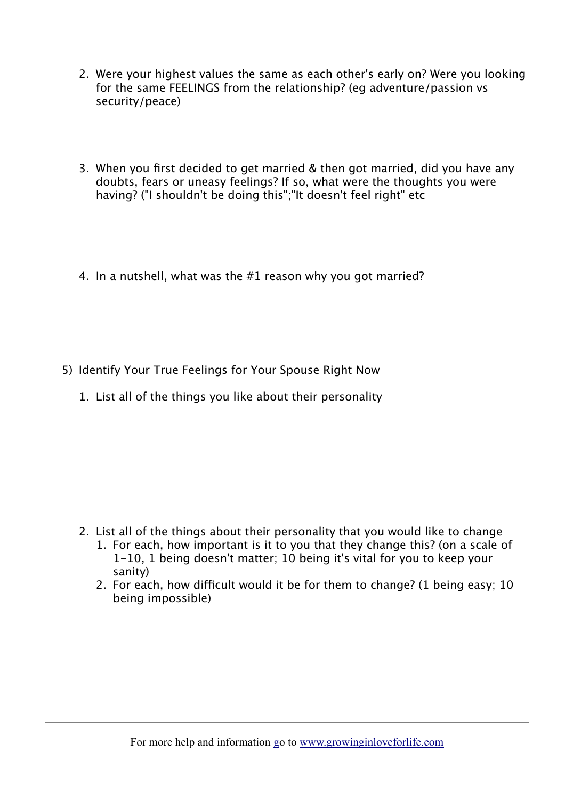- 2. Were your highest values the same as each other's early on? Were you looking for the same FEELINGS from the relationship? (eg adventure/passion vs security/peace)
- 3. When you first decided to get married & then got married, did you have any doubts, fears or uneasy feelings? If so, what were the thoughts you were having? ("I shouldn't be doing this";"It doesn't feel right" etc
- 4. In a nutshell, what was the #1 reason why you got married?
- 5) Identify Your True Feelings for Your Spouse Right Now
	- 1. List all of the things you like about their personality

- 2. List all of the things about their personality that you would like to change 1. For each, how important is it to you that they change this? (on a scale of 1-10, 1 being doesn't matter; 10 being it's vital for you to keep your sanity)
	- 2. For each, how difficult would it be for them to change? (1 being easy; 10 being impossible)